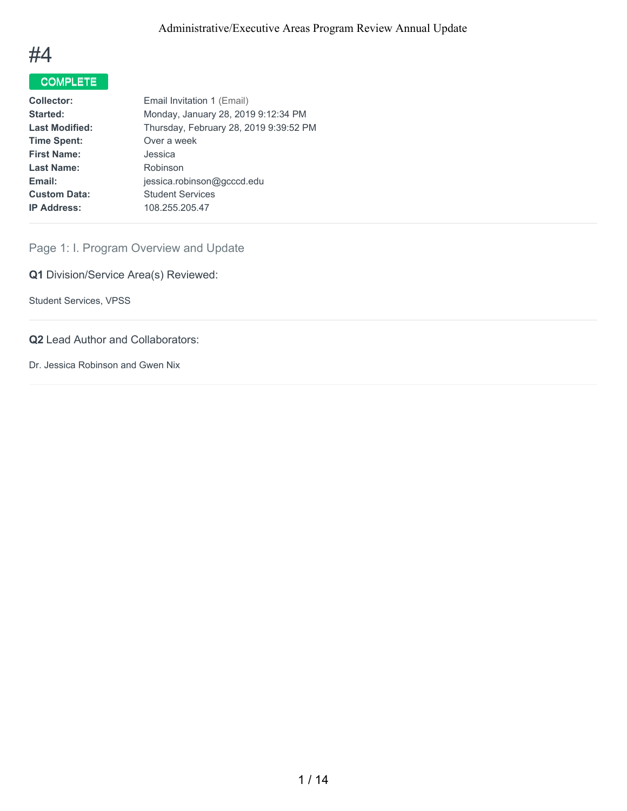

# COMPLETE

| <b>Collector:</b>     | Email Invitation 1 (Email)             |
|-----------------------|----------------------------------------|
| Started:              | Monday, January 28, 2019 9:12:34 PM    |
| <b>Last Modified:</b> | Thursday, February 28, 2019 9:39:52 PM |
| <b>Time Spent:</b>    | Over a week                            |
| <b>First Name:</b>    | Jessica                                |
| <b>Last Name:</b>     | Robinson                               |
| Email:                | jessica.robinson@gcccd.edu             |
| <b>Custom Data:</b>   | <b>Student Services</b>                |
| <b>IP Address:</b>    | 108.255.205.47                         |
|                       |                                        |

### Page 1: I. Program Overview and Update

**Q1** Division/Service Area(s) Reviewed:

Student Services, VPSS

#### **Q2** Lead Author and Collaborators:

Dr. Jessica Robinson and Gwen Nix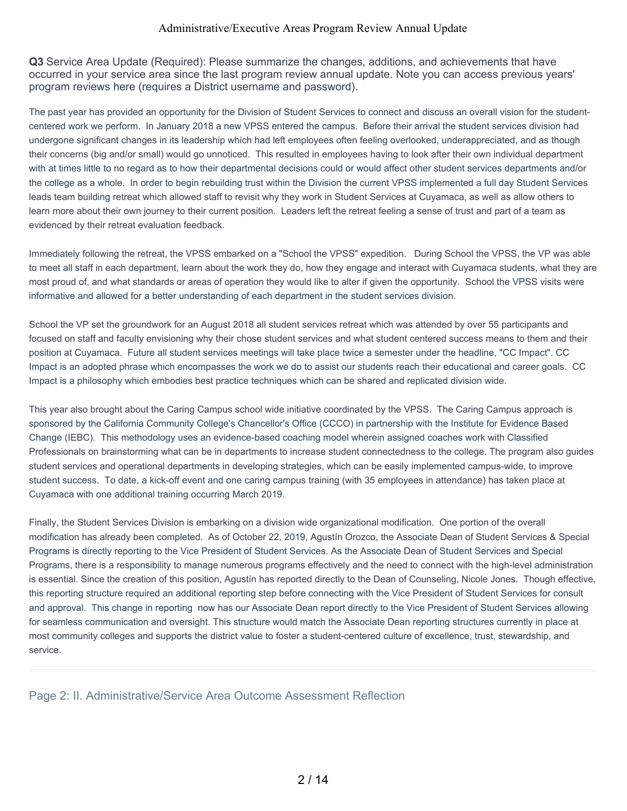**Q3** Service Area Update (Required): Please summarize the changes, additions, and achievements that have occurred in your service area since the last program review annual update. Note you can access previous years' program reviews here (requires a District username and password).

The past year has provided an opportunity for the Division of Student Services to connect and discuss an overall vision for the studentcentered work we perform. In January 2018 a new VPSS entered the campus. Before their arrival the student services division had undergone significant changes in its leadership which had left employees often feeling overlooked, underappreciated, and as though their concerns (big and/or small) would go unnoticed. This resulted in employees having to look after their own individual department with at times little to no regard as to how their departmental decisions could or would affect other student services departments and/or the college as a whole. In order to begin rebuilding trust within the Division the current VPSS implemented a full day Student Services leads team building retreat which allowed staff to revisit why they work in Student Services at Cuyamaca, as well as allow others to learn more about their own journey to their current position. Leaders left the retreat feeling a sense of trust and part of a team as evidenced by their retreat evaluation feedback.

Immediately following the retreat, the VPSS embarked on a "School the VPSS" expedition. During School the VPSS, the VP was able to meet all staff in each department, learn about the work they do, how they engage and interact with Cuyamaca students, what they are most proud of, and what standards or areas of operation they would like to alter if given the opportunity. School the VPSS visits were informative and allowed for a better understanding of each department in the student services division.

School the VP set the groundwork for an August 2018 all student services retreat which was attended by over 55 participants and focused on staff and faculty envisioning why their chose student services and what student centered success means to them and their position at Cuyamaca. Future all student services meetings will take place twice a semester under the headline, "CC Impact". CC Impact is an adopted phrase which encompasses the work we do to assist our students reach their educational and career goals. CC Impact is a philosophy which embodies best practice techniques which can be shared and replicated division wide.

This year also brought about the Caring Campus school wide initiative coordinated by the VPSS. The Caring Campus approach is sponsored by the California Community College's Chancellor's Office (CCCO) in partnership with the Institute for Evidence Based Change (IEBC). This methodology uses an evidence-based coaching model wherein assigned coaches work with Classified Professionals on brainstorming what can be in departments to increase student connectedness to the college. The program also guides student services and operational departments in developing strategies, which can be easily implemented campus-wide, to improve student success. To date, a kick-off event and one caring campus training (with 35 employees in attendance) has taken place at Cuyamaca with one additional training occurring March 2019.

Finally, the Student Services Division is embarking on a division wide organizational modification. One portion of the overall modification has already been completed. As of October 22, 2019, Agustín Orozco, the Associate Dean of Student Services & Special Programs is directly reporting to the Vice President of Student Services. As the Associate Dean of Student Services and Special Programs, there is a responsibility to manage numerous programs effectively and the need to connect with the high-level administration is essential. Since the creation of this position, Agustín has reported directly to the Dean of Counseling, Nicole Jones. Though effective, this reporting structure required an additional reporting step before connecting with the Vice President of Student Services for consult and approval. This change in reporting now has our Associate Dean report directly to the Vice President of Student Services allowing for seamless communication and oversight. This structure would match the Associate Dean reporting structures currently in place at most community colleges and supports the district value to foster a student-centered culture of excellence, trust, stewardship, and service.

Page 2: II. Administrative/Service Area Outcome Assessment Reflection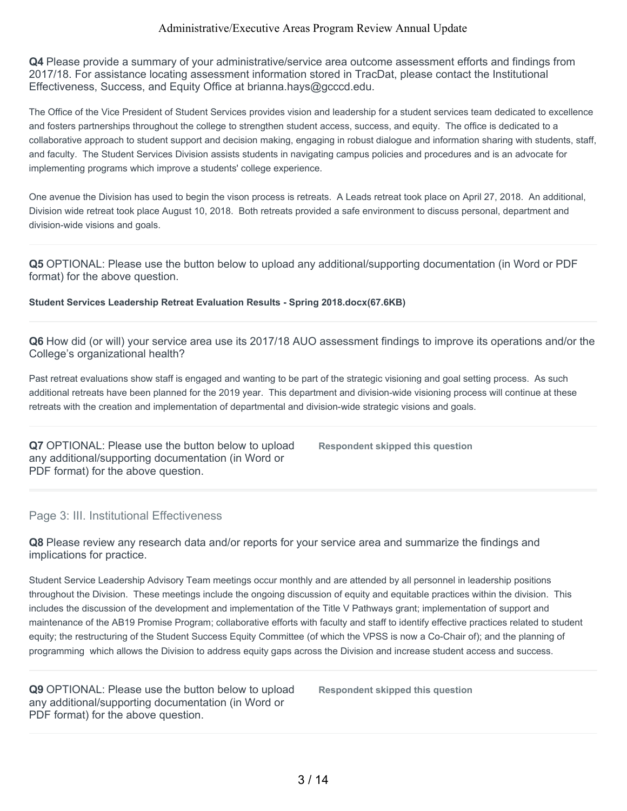**Q4** Please provide a summary of your administrative/service area outcome assessment efforts and findings from 2017/18. For assistance locating assessment information stored in TracDat, please contact the Institutional Effectiveness, Success, and Equity Office at brianna.hays@gcccd.edu.

The Office of the Vice President of Student Services provides vision and leadership for a student services team dedicated to excellence and fosters partnerships throughout the college to strengthen student access, success, and equity. The office is dedicated to a collaborative approach to student support and decision making, engaging in robust dialogue and information sharing with students, staff, and faculty. The Student Services Division assists students in navigating campus policies and procedures and is an advocate for implementing programs which improve a students' college experience.

One avenue the Division has used to begin the vison process is retreats. A Leads retreat took place on April 27, 2018. An additional, Division wide retreat took place August 10, 2018. Both retreats provided a safe environment to discuss personal, department and division-wide visions and goals.

**Q5** OPTIONAL: Please use the button below to upload any additional/supporting documentation (in Word or PDF format) for the above question.

**Student Services Leadership Retreat Evaluation Results - Spring 2018.docx(67.6KB)**

**Q6** How did (or will) your service area use its 2017/18 AUO assessment findings to improve its operations and/or the College's organizational health?

Past retreat evaluations show staff is engaged and wanting to be part of the strategic visioning and goal setting process. As such additional retreats have been planned for the 2019 year. This department and division-wide visioning process will continue at these retreats with the creation and implementation of departmental and division-wide strategic visions and goals.

**Q7** OPTIONAL: Please use the button below to upload any additional/supporting documentation (in Word or PDF format) for the above question.

**Respondent skipped this question**

#### Page 3: III. Institutional Effectiveness

#### **Q8** Please review any research data and/or reports for your service area and summarize the findings and implications for practice.

Student Service Leadership Advisory Team meetings occur monthly and are attended by all personnel in leadership positions throughout the Division. These meetings include the ongoing discussion of equity and equitable practices within the division. This includes the discussion of the development and implementation of the Title V Pathways grant; implementation of support and maintenance of the AB19 Promise Program; collaborative efforts with faculty and staff to identify effective practices related to student equity; the restructuring of the Student Success Equity Committee (of which the VPSS is now a Co-Chair of); and the planning of programming which allows the Division to address equity gaps across the Division and increase student access and success.

**Q9** OPTIONAL: Please use the button below to upload any additional/supporting documentation (in Word or PDF format) for the above question.

**Respondent skipped this question**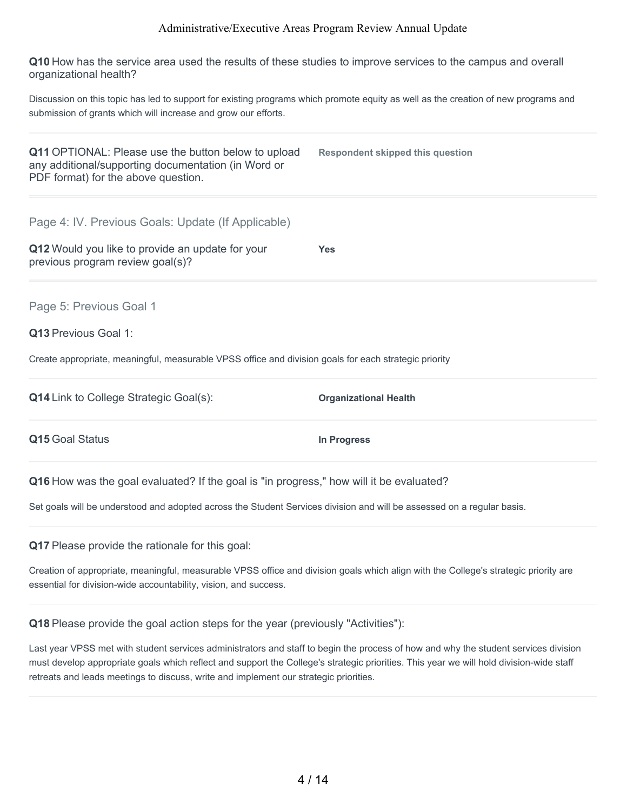**Q10** How has the service area used the results of these studies to improve services to the campus and overall organizational health?

Discussion on this topic has led to support for existing programs which promote equity as well as the creation of new programs and submission of grants which will increase and grow our efforts.

| <b>Q11 OPTIONAL: Please use the button below to upload</b><br>any additional/supporting documentation (in Word or<br>PDF format) for the above question. | <b>Respondent skipped this question</b> |  |
|----------------------------------------------------------------------------------------------------------------------------------------------------------|-----------------------------------------|--|
| Page 4: IV. Previous Goals: Update (If Applicable)                                                                                                       |                                         |  |
| Q12 Would you like to provide an update for your<br>previous program review goal(s)?                                                                     | <b>Yes</b>                              |  |
| Page 5: Previous Goal 1                                                                                                                                  |                                         |  |
| Q13 Previous Goal 1:                                                                                                                                     |                                         |  |
| Create appropriate, meaningful, measurable VPSS office and division goals for each strategic priority                                                    |                                         |  |
| Q14 Link to College Strategic Goal(s):                                                                                                                   | <b>Organizational Health</b>            |  |
| Q15 Goal Status                                                                                                                                          | In Progress                             |  |
| Q16 How was the goal evaluated? If the goal is "in progress," how will it be evaluated?                                                                  |                                         |  |
| Set goals will be understood and adopted across the Student Services division and will be assessed on a regular basis.                                   |                                         |  |

**Q17** Please provide the rationale for this goal:

Creation of appropriate, meaningful, measurable VPSS office and division goals which align with the College's strategic priority are essential for division-wide accountability, vision, and success.

**Q18** Please provide the goal action steps for the year (previously "Activities"):

Last year VPSS met with student services administrators and staff to begin the process of how and why the student services division must develop appropriate goals which reflect and support the College's strategic priorities. This year we will hold division-wide staff retreats and leads meetings to discuss, write and implement our strategic priorities.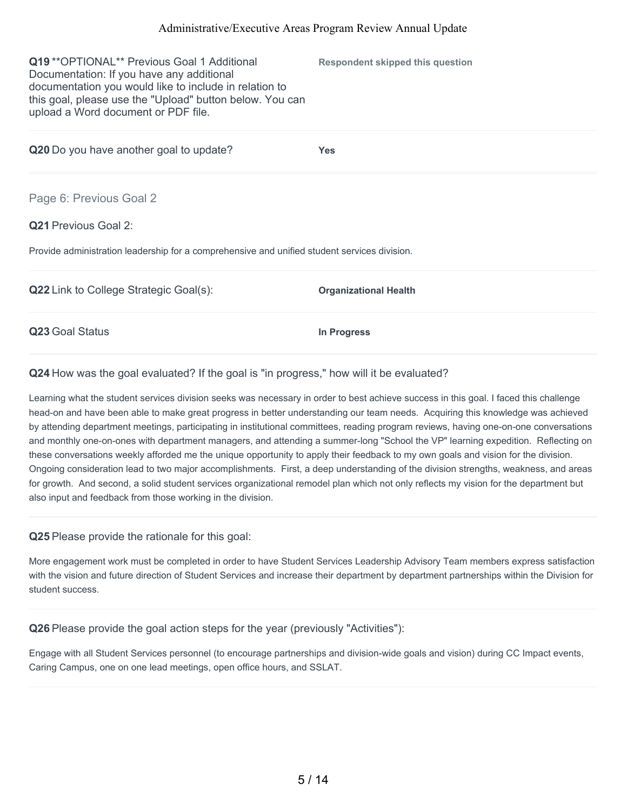**Q19** \*\*OPTIONAL\*\* Previous Goal 1 Additional Documentation: If you have any additional documentation you would like to include in relation to this goal, please use the "Upload" button below. You can upload a Word document or PDF file. **Respondent skipped this question**

**Q20** Do you have another goal to update? **Yes Q21** Previous Goal 2: Page 6: Previous Goal 2

Provide administration leadership for a comprehensive and unified student services division.

**Q22** Link to College Strategic Goal(s): **Organizational Health**

**Q23** Goal Status **In Progress**

#### **Q24** How was the goal evaluated? If the goal is "in progress," how will it be evaluated?

Learning what the student services division seeks was necessary in order to best achieve success in this goal. I faced this challenge head-on and have been able to make great progress in better understanding our team needs. Acquiring this knowledge was achieved by attending department meetings, participating in institutional committees, reading program reviews, having one-on-one conversations and monthly one-on-ones with department managers, and attending a summer-long "School the VP" learning expedition. Reflecting on these conversations weekly afforded me the unique opportunity to apply their feedback to my own goals and vision for the division. Ongoing consideration lead to two major accomplishments. First, a deep understanding of the division strengths, weakness, and areas for growth. And second, a solid student services organizational remodel plan which not only reflects my vision for the department but also input and feedback from those working in the division.

**Q25** Please provide the rationale for this goal:

More engagement work must be completed in order to have Student Services Leadership Advisory Team members express satisfaction with the vision and future direction of Student Services and increase their department by department partnerships within the Division for student success.

**Q26** Please provide the goal action steps for the year (previously "Activities"):

Engage with all Student Services personnel (to encourage partnerships and division-wide goals and vision) during CC Impact events, Caring Campus, one on one lead meetings, open office hours, and SSLAT.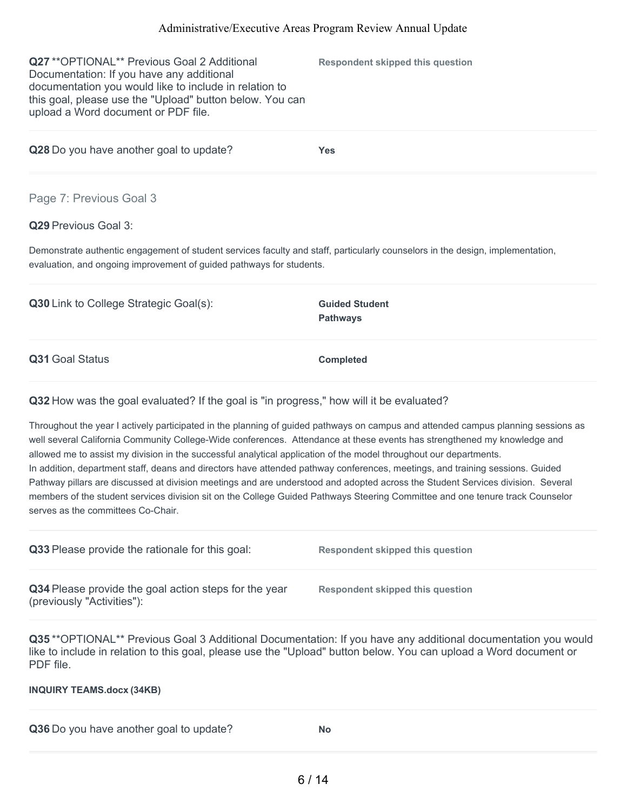**Q27** \*\*OPTIONAL\*\* Previous Goal 2 Additional Documentation: If you have any additional documentation you would like to include in relation to this goal, please use the "Upload" button below. You can upload a Word document or PDF file.

| <b>Respondent skipped this question</b> |  |  |
|-----------------------------------------|--|--|
|-----------------------------------------|--|--|

**Q28** Do you have another goal to update? **Yes**

Page 7: Previous Goal 3

**Q29** Previous Goal 3:

Demonstrate authentic engagement of student services faculty and staff, particularly counselors in the design, implementation, evaluation, and ongoing improvement of guided pathways for students.

| Q30 Link to College Strategic Goal(s): | <b>Guided Student</b><br><b>Pathways</b> |
|----------------------------------------|------------------------------------------|
| Q31 Goal Status                        | <b>Completed</b>                         |

**Q32** How was the goal evaluated? If the goal is "in progress," how will it be evaluated?

Throughout the year I actively participated in the planning of guided pathways on campus and attended campus planning sessions as well several California Community College-Wide conferences. Attendance at these events has strengthened my knowledge and allowed me to assist my division in the successful analytical application of the model throughout our departments. In addition, department staff, deans and directors have attended pathway conferences, meetings, and training sessions. Guided Pathway pillars are discussed at division meetings and are understood and adopted across the Student Services division. Several members of the student services division sit on the College Guided Pathways Steering Committee and one tenure track Counselor serves as the committees Co-Chair.

| Q33 Please provide the rationale for this goal:                                     | <b>Respondent skipped this question</b> |
|-------------------------------------------------------------------------------------|-----------------------------------------|
| Q34 Please provide the goal action steps for the year<br>(previously "Activities"): | Respondent skipped this question        |

**Q35** \*\*OPTIONAL\*\* Previous Goal 3 Additional Documentation: If you have any additional documentation you would like to include in relation to this goal, please use the "Upload" button below. You can upload a Word document or PDF file.

**INQUIRY TEAMS.docx (34KB)**

**Q36** Do you have another goal to update? **No**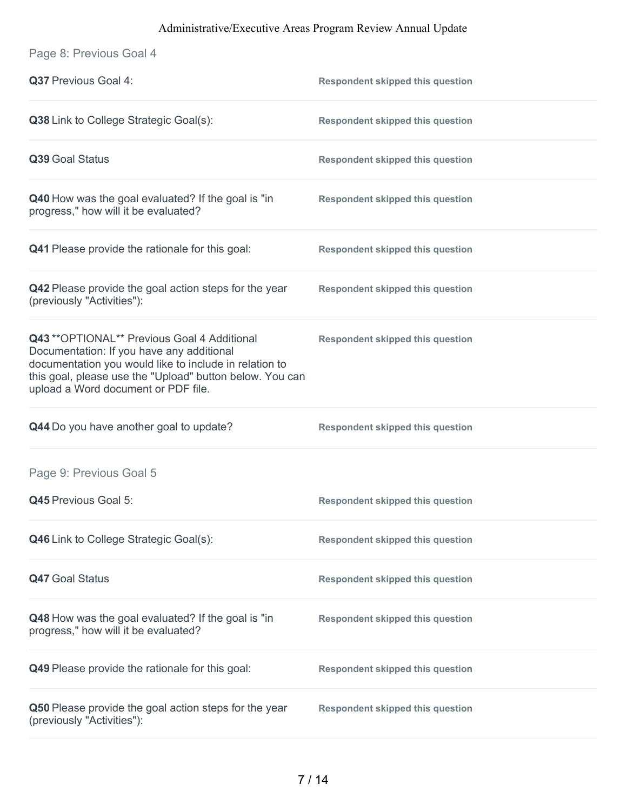| Page 8: Previous Goal 4                                                                                                                                                                                                                                |                                         |
|--------------------------------------------------------------------------------------------------------------------------------------------------------------------------------------------------------------------------------------------------------|-----------------------------------------|
| Q37 Previous Goal 4:                                                                                                                                                                                                                                   | <b>Respondent skipped this question</b> |
| Q38 Link to College Strategic Goal(s):                                                                                                                                                                                                                 | <b>Respondent skipped this question</b> |
| Q39 Goal Status                                                                                                                                                                                                                                        | <b>Respondent skipped this question</b> |
| Q40 How was the goal evaluated? If the goal is "in<br>progress," how will it be evaluated?                                                                                                                                                             | <b>Respondent skipped this question</b> |
| Q41 Please provide the rationale for this goal:                                                                                                                                                                                                        | <b>Respondent skipped this question</b> |
| Q42 Please provide the goal action steps for the year<br>(previously "Activities"):                                                                                                                                                                    | <b>Respondent skipped this question</b> |
| Q43 ** OPTIONAL** Previous Goal 4 Additional<br>Documentation: If you have any additional<br>documentation you would like to include in relation to<br>this goal, please use the "Upload" button below. You can<br>upload a Word document or PDF file. | <b>Respondent skipped this question</b> |
| Q44 Do you have another goal to update?                                                                                                                                                                                                                | <b>Respondent skipped this question</b> |
| Page 9: Previous Goal 5                                                                                                                                                                                                                                |                                         |
| Q45 Previous Goal 5:                                                                                                                                                                                                                                   | <b>Respondent skipped this question</b> |
| Q46 Link to College Strategic Goal(s):                                                                                                                                                                                                                 | <b>Respondent skipped this question</b> |
| <b>Q47 Goal Status</b>                                                                                                                                                                                                                                 | <b>Respondent skipped this question</b> |
| Q48 How was the goal evaluated? If the goal is "in<br>progress," how will it be evaluated?                                                                                                                                                             | <b>Respondent skipped this question</b> |
| Q49 Please provide the rationale for this goal:                                                                                                                                                                                                        | <b>Respondent skipped this question</b> |
| Q50 Please provide the goal action steps for the year<br>(previously "Activities"):                                                                                                                                                                    | <b>Respondent skipped this question</b> |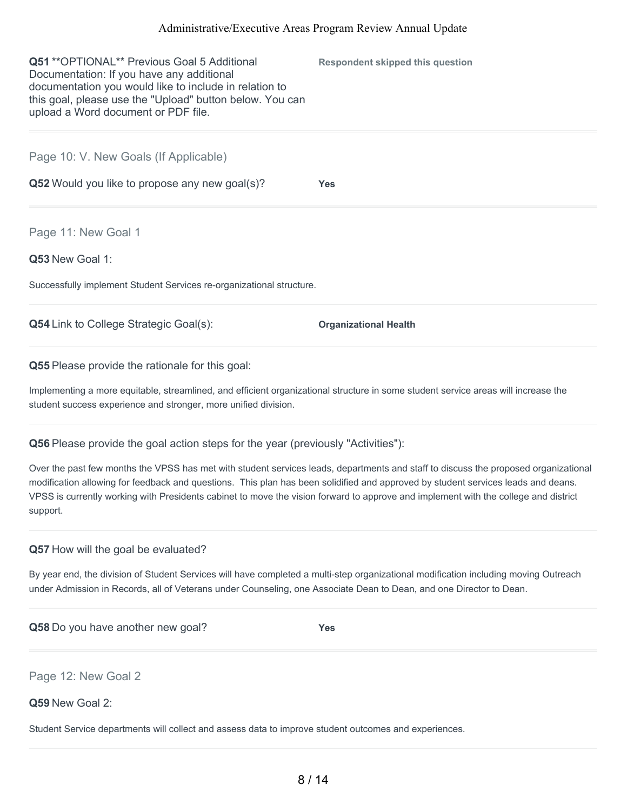| <b>Q51</b> **OPTIONAL** Previous Goal 5 Additional<br>Documentation: If you have any additional<br>documentation you would like to include in relation to<br>this goal, please use the "Upload" button below. You can<br>upload a Word document or PDF file. | <b>Respondent skipped this question</b> |
|--------------------------------------------------------------------------------------------------------------------------------------------------------------------------------------------------------------------------------------------------------------|-----------------------------------------|
| Page 10: V. New Goals (If Applicable)                                                                                                                                                                                                                        |                                         |
| Q52 Would you like to propose any new goal(s)?                                                                                                                                                                                                               | <b>Yes</b>                              |
| Page 11: New Goal 1                                                                                                                                                                                                                                          |                                         |
| Q53 New Goal 1:                                                                                                                                                                                                                                              |                                         |
| Successfully implement Student Services re-organizational structure.                                                                                                                                                                                         |                                         |
| <b>Q54</b> Link to College Strategic Goal(s):                                                                                                                                                                                                                | <b>Organizational Health</b>            |

**Q55** Please provide the rationale for this goal:

Implementing a more equitable, streamlined, and efficient organizational structure in some student service areas will increase the student success experience and stronger, more unified division.

#### **Q56** Please provide the goal action steps for the year (previously "Activities"):

Over the past few months the VPSS has met with student services leads, departments and staff to discuss the proposed organizational modification allowing for feedback and questions. This plan has been solidified and approved by student services leads and deans. VPSS is currently working with Presidents cabinet to move the vision forward to approve and implement with the college and district support.

#### **Q57** How will the goal be evaluated?

By year end, the division of Student Services will have completed a multi-step organizational modification including moving Outreach under Admission in Records, all of Veterans under Counseling, one Associate Dean to Dean, and one Director to Dean.

**Q58** Do you have another new goal? **Yes**

#### Page 12: New Goal 2

#### **Q59** New Goal 2:

Student Service departments will collect and assess data to improve student outcomes and experiences.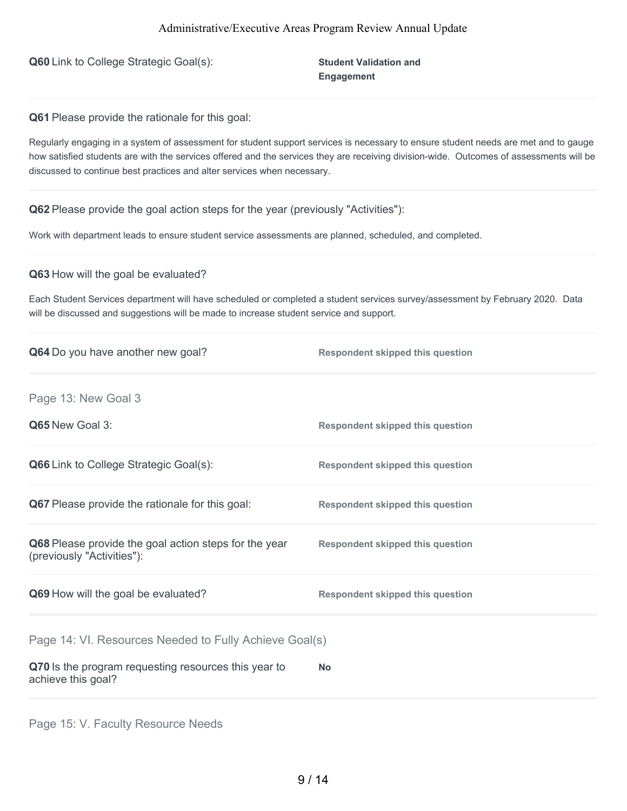**Q60** Link to College Strategic Goal(s): **Student Validation and** 

**Engagement**

**Q61** Please provide the rationale for this goal:

Regularly engaging in a system of assessment for student support services is necessary to ensure student needs are met and to gauge how satisfied students are with the services offered and the services they are receiving division-wide. Outcomes of assessments will be discussed to continue best practices and alter services when necessary.

#### **Q62** Please provide the goal action steps for the year (previously "Activities"):

Work with department leads to ensure student service assessments are planned, scheduled, and completed.

#### **Q63** How will the goal be evaluated?

Each Student Services department will have scheduled or completed a student services survey/assessment by February 2020. Data will be discussed and suggestions will be made to increase student service and support.

| Q64 Do you have another new goal?                                                   | <b>Respondent skipped this question</b> |
|-------------------------------------------------------------------------------------|-----------------------------------------|
| Page 13: New Goal 3                                                                 |                                         |
| Q65 New Goal 3:                                                                     | <b>Respondent skipped this question</b> |
| Q66 Link to College Strategic Goal(s):                                              | <b>Respondent skipped this question</b> |
| Q67 Please provide the rationale for this goal:                                     | <b>Respondent skipped this question</b> |
| Q68 Please provide the goal action steps for the year<br>(previously "Activities"): | <b>Respondent skipped this question</b> |
| Q69 How will the goal be evaluated?                                                 | <b>Respondent skipped this question</b> |
| Page 14: VI. Resources Needed to Fully Achieve Goal(s)                              |                                         |
| Q70 Is the program requesting resources this year to<br>achieve this goal?          | <b>No</b>                               |
|                                                                                     |                                         |

Page 15: V. Faculty Resource Needs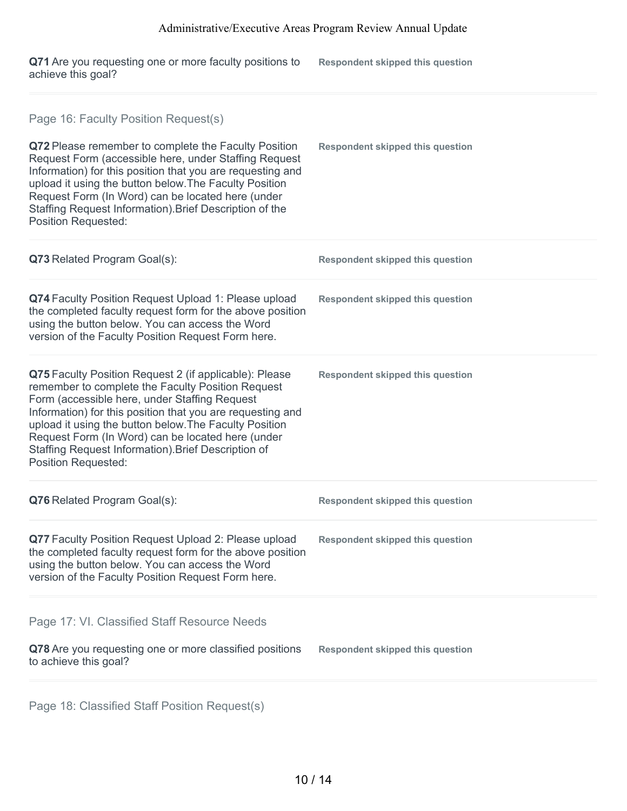**Q71** Are you requesting one or more faculty positions to achieve this goal? **Respondent skipped this question**

| Page 16: Faculty Position Request(s)<br>Q72 Please remember to complete the Faculty Position<br>Request Form (accessible here, under Staffing Request<br>Information) for this position that you are requesting and<br>upload it using the button below. The Faculty Position<br>Request Form (In Word) can be located here (under<br>Staffing Request Information). Brief Description of the<br><b>Position Requested:</b>    | <b>Respondent skipped this question</b> |
|--------------------------------------------------------------------------------------------------------------------------------------------------------------------------------------------------------------------------------------------------------------------------------------------------------------------------------------------------------------------------------------------------------------------------------|-----------------------------------------|
| Q73 Related Program Goal(s):                                                                                                                                                                                                                                                                                                                                                                                                   | <b>Respondent skipped this question</b> |
| Q74 Faculty Position Request Upload 1: Please upload<br>the completed faculty request form for the above position<br>using the button below. You can access the Word<br>version of the Faculty Position Request Form here.                                                                                                                                                                                                     | <b>Respondent skipped this question</b> |
| Q75 Faculty Position Request 2 (if applicable): Please<br>remember to complete the Faculty Position Request<br>Form (accessible here, under Staffing Request<br>Information) for this position that you are requesting and<br>upload it using the button below. The Faculty Position<br>Request Form (In Word) can be located here (under<br>Staffing Request Information). Brief Description of<br><b>Position Requested:</b> | <b>Respondent skipped this question</b> |
| Q76 Related Program Goal(s):                                                                                                                                                                                                                                                                                                                                                                                                   | <b>Respondent skipped this question</b> |
| Q77 Faculty Position Request Upload 2: Please upload<br>the completed faculty request form for the above position<br>using the button below. You can access the Word<br>version of the Faculty Position Request Form here.                                                                                                                                                                                                     | <b>Respondent skipped this question</b> |
| Page 17: VI. Classified Staff Resource Needs<br>Q78 Are you requesting one or more classified positions<br>to achieve this goal?                                                                                                                                                                                                                                                                                               | <b>Respondent skipped this question</b> |
|                                                                                                                                                                                                                                                                                                                                                                                                                                |                                         |

Page 18: Classified Staff Position Request(s)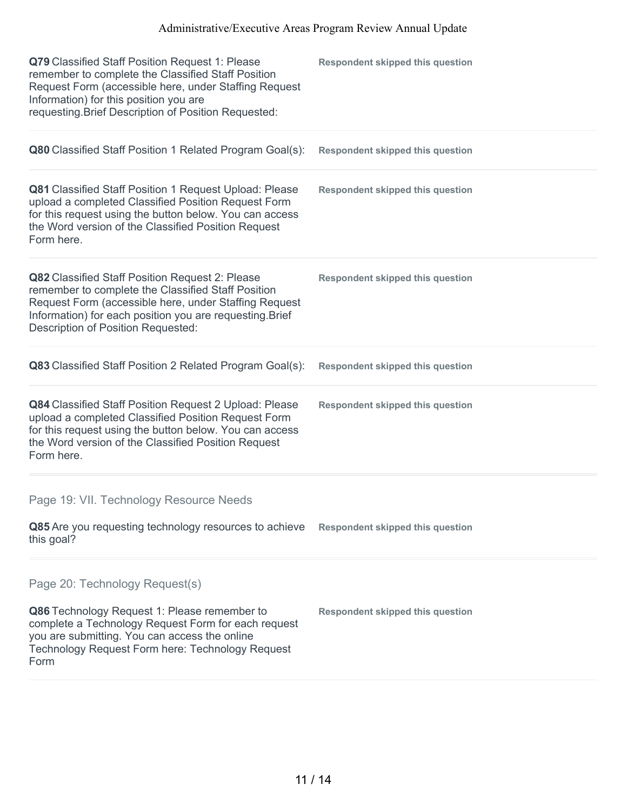| Q79 Classified Staff Position Request 1: Please<br>remember to complete the Classified Staff Position<br>Request Form (accessible here, under Staffing Request<br>Information) for this position you are<br>requesting. Brief Description of Position Requested: | <b>Respondent skipped this question</b> |
|------------------------------------------------------------------------------------------------------------------------------------------------------------------------------------------------------------------------------------------------------------------|-----------------------------------------|
| Q80 Classified Staff Position 1 Related Program Goal(s):                                                                                                                                                                                                         | <b>Respondent skipped this question</b> |
| Q81 Classified Staff Position 1 Request Upload: Please<br>upload a completed Classified Position Request Form<br>for this request using the button below. You can access<br>the Word version of the Classified Position Request<br>Form here.                    | <b>Respondent skipped this question</b> |
| Q82 Classified Staff Position Request 2: Please<br>remember to complete the Classified Staff Position<br>Request Form (accessible here, under Staffing Request<br>Information) for each position you are requesting. Brief<br>Description of Position Requested: | <b>Respondent skipped this question</b> |
| Q83 Classified Staff Position 2 Related Program Goal(s):                                                                                                                                                                                                         | <b>Respondent skipped this question</b> |
| Q84 Classified Staff Position Request 2 Upload: Please<br>upload a completed Classified Position Request Form<br>for this request using the button below. You can access<br>the Word version of the Classified Position Request<br>Form here.                    | <b>Respondent skipped this question</b> |
| Page 19: VII. Technology Resource Needs                                                                                                                                                                                                                          |                                         |
| Q85 Are you requesting technology resources to achieve<br>this goal?                                                                                                                                                                                             | <b>Respondent skipped this question</b> |
| Page 20: Technology Request(s)                                                                                                                                                                                                                                   |                                         |
| Q86 Technology Request 1: Please remember to<br>complete a Technology Request Form for each request<br>you are submitting. You can access the online<br>Technology Request Form here: Technology Request<br>Form                                                 | <b>Respondent skipped this question</b> |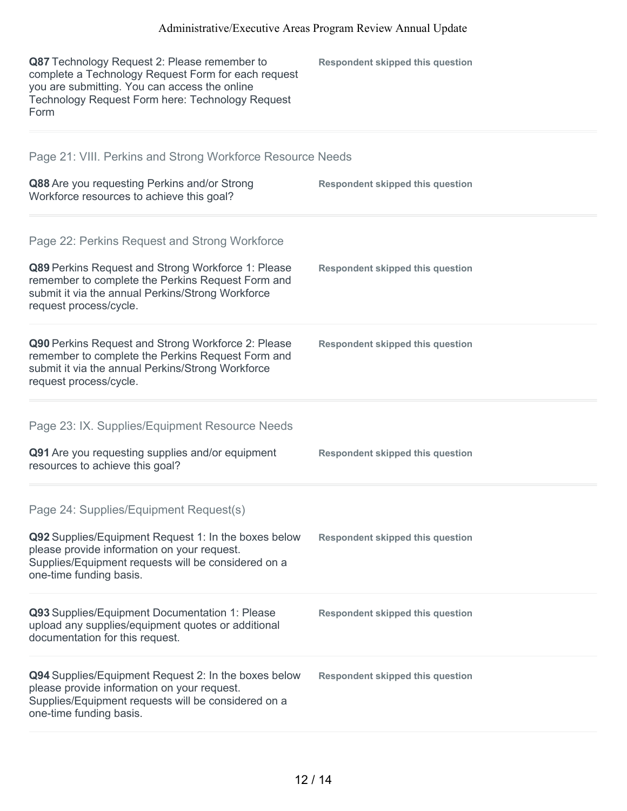| Q87 Technology Request 2: Please remember to<br>complete a Technology Request Form for each request<br>you are submitting. You can access the online<br>Technology Request Form here: Technology Request<br>Form | <b>Respondent skipped this question</b> |
|------------------------------------------------------------------------------------------------------------------------------------------------------------------------------------------------------------------|-----------------------------------------|
| Page 21: VIII. Perkins and Strong Workforce Resource Needs                                                                                                                                                       |                                         |
| Q88 Are you requesting Perkins and/or Strong<br>Workforce resources to achieve this goal?                                                                                                                        | <b>Respondent skipped this question</b> |
| Page 22: Perkins Request and Strong Workforce                                                                                                                                                                    |                                         |
| Q89 Perkins Request and Strong Workforce 1: Please<br>remember to complete the Perkins Request Form and<br>submit it via the annual Perkins/Strong Workforce<br>request process/cycle.                           | <b>Respondent skipped this question</b> |
| Q90 Perkins Request and Strong Workforce 2: Please<br>remember to complete the Perkins Request Form and<br>submit it via the annual Perkins/Strong Workforce<br>request process/cycle.                           | <b>Respondent skipped this question</b> |
| Page 23: IX. Supplies/Equipment Resource Needs                                                                                                                                                                   |                                         |
| Q91 Are you requesting supplies and/or equipment<br>resources to achieve this goal?                                                                                                                              | <b>Respondent skipped this question</b> |
| Page 24: Supplies/Equipment Request(s)                                                                                                                                                                           |                                         |
| Q92 Supplies/Equipment Request 1: In the boxes below<br>please provide information on your request.<br>Supplies/Equipment requests will be considered on a<br>one-time funding basis.                            | <b>Respondent skipped this question</b> |
| Q93 Supplies/Equipment Documentation 1: Please<br>upload any supplies/equipment quotes or additional<br>documentation for this request.                                                                          | <b>Respondent skipped this question</b> |
| Q94 Supplies/Equipment Request 2: In the boxes below<br>please provide information on your request.<br>Supplies/Equipment requests will be considered on a<br>one-time funding basis.                            | <b>Respondent skipped this question</b> |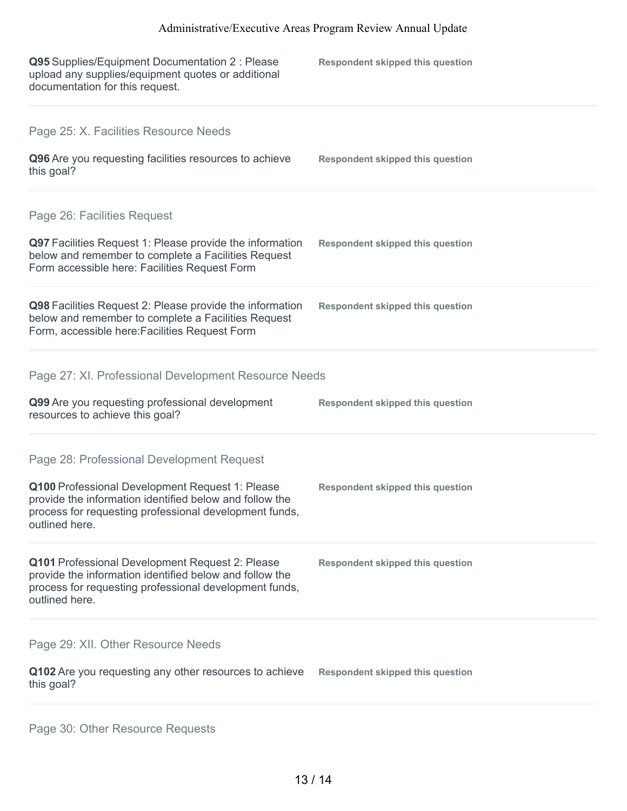| Q95 Supplies/Equipment Documentation 2 : Please<br>upload any supplies/equipment quotes or additional<br>documentation for this request.                                                                                            | <b>Respondent skipped this question</b> |
|-------------------------------------------------------------------------------------------------------------------------------------------------------------------------------------------------------------------------------------|-----------------------------------------|
| Page 25: X. Facilities Resource Needs<br>Q96 Are you requesting facilities resources to achieve<br>this goal?                                                                                                                       | <b>Respondent skipped this question</b> |
| Page 26: Facilities Request<br>Q97 Facilities Request 1: Please provide the information<br>below and remember to complete a Facilities Request<br>Form accessible here: Facilities Request Form                                     | <b>Respondent skipped this question</b> |
| Q98 Facilities Request 2: Please provide the information<br>below and remember to complete a Facilities Request<br>Form, accessible here: Facilities Request Form                                                                   | <b>Respondent skipped this question</b> |
| Page 27: XI. Professional Development Resource Needs<br>Q99 Are you requesting professional development<br>resources to achieve this goal?                                                                                          | <b>Respondent skipped this question</b> |
| Page 28: Professional Development Request<br>Q100 Professional Development Request 1: Please<br>provide the information identified below and follow the<br>process for requesting professional development funds,<br>outlined here. | <b>Respondent skipped this question</b> |
| Q101 Professional Development Request 2: Please<br>provide the information identified below and follow the<br>process for requesting professional development funds,<br>outlined here.                                              | <b>Respondent skipped this question</b> |
| Page 29: XII. Other Resource Needs<br>Q102 Are you requesting any other resources to achieve<br>this goal?                                                                                                                          | <b>Respondent skipped this question</b> |

Page 30: Other Resource Requests